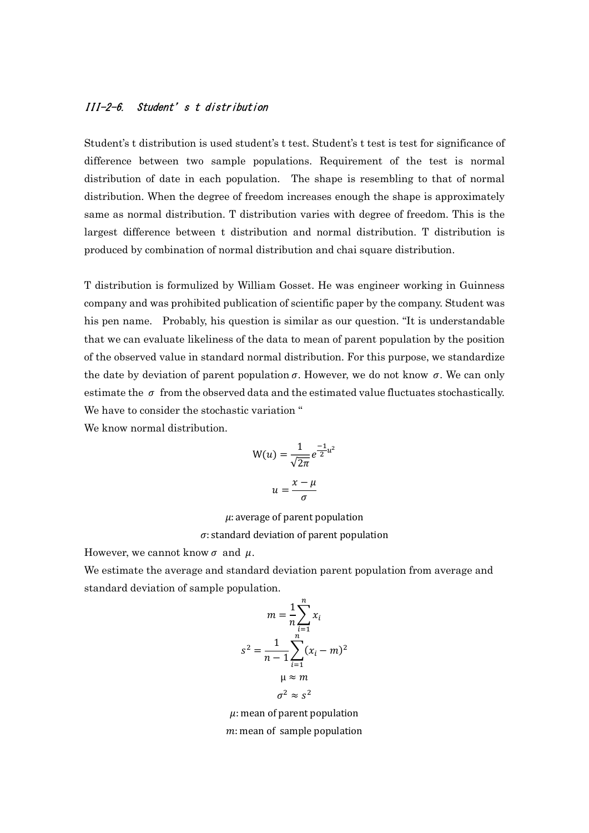## III-2-6. Student's t distribution

Student's t distribution is used student's t test. Student's t test is test for significance of difference between two sample populations. Requirement of the test is normal distribution of date in each population. The shape is resembling to that of normal distribution. When the degree of freedom increases enough the shape is approximately same as normal distribution. T distribution varies with degree of freedom. This is the largest difference between t distribution and normal distribution. T distribution is produced by combination of normal distribution and chai square distribution.

T distribution is formulized by William Gosset. He was engineer working in Guinness company and was prohibited publication of scientific paper by the company. Student was his pen name. Probably, his question is similar as our question. "It is understandable that we can evaluate likeliness of the data to mean of parent population by the position of the observed value in standard normal distribution. For this purpose, we standardize the date by deviation of parent population  $\sigma$ . However, we do not know  $\sigma$ . We can only estimate the  $\sigma$  from the observed data and the estimated value fluctuates stochastically. We have to consider the stochastic variation "

We know normal distribution.

$$
W(u) = \frac{1}{\sqrt{2\pi}} e^{\frac{-1}{2}u^2}
$$

$$
u = \frac{x - \mu}{\sigma}
$$

 $\mu$ : average of parent population

 $\sigma$ : standard deviation of parent population

However, we cannot know  $\sigma$  and  $\mu$ .

We estimate the average and standard deviation parent population from average and standard deviation of sample population.

$$
m = \frac{1}{n} \sum_{i=1}^{n} x_i
$$
  

$$
s^2 = \frac{1}{n-1} \sum_{i=1}^{n} (x_i - m)^2
$$
  

$$
\mu \approx m
$$
  

$$
\sigma^2 \approx s^2
$$

 $\mu$ : mean of parent population  $m:$  mean of sample population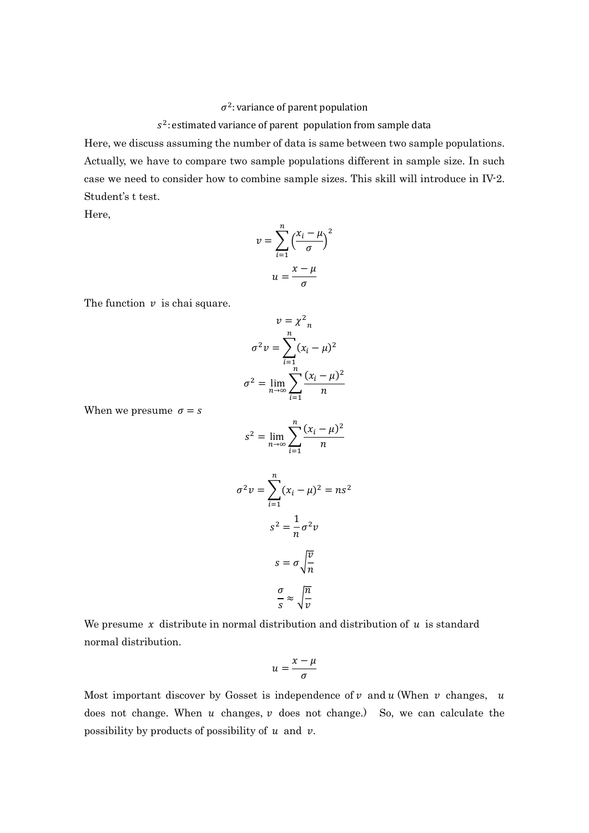## $\sigma^2$ : variance of parent population

## $s^2$ : estimated variance of parent population from sample data

Here, we discuss assuming the number of data is same between two sample populations. Actually, we have to compare two sample populations different in sample size. In such case we need to consider how to combine sample sizes. This skill will introduce in IV-2. Student's t test.

Here,

$$
v = \sum_{i=1}^{n} \left(\frac{x_i - \mu}{\sigma}\right)^2
$$

$$
u = \frac{x - \mu}{\sigma}
$$

The function  $\nu$  is chai square.

$$
v = \chi^2_n
$$

$$
\sigma^2 v = \sum_{i=1}^n (x_i - \mu)^2
$$

$$
\sigma^2 = \lim_{n \to \infty} \sum_{i=1}^n \frac{(x_i - \mu)^2}{n}
$$

When we presume  $\sigma = s$ 

$$
s^2 = \lim_{n \to \infty} \sum_{i=1}^n \frac{(x_i - \mu)^2}{n}
$$

$$
\sigma^2 \nu = \sum_{i=1}^n (x_i - \mu)^2 = ns^2
$$

$$
s^2 = \frac{1}{n} \sigma^2 \nu
$$

$$
s = \sigma \sqrt{\frac{v}{n}}
$$

$$
\frac{\sigma}{s} \approx \sqrt{\frac{n}{v}}
$$

We presume  $x$  distribute in normal distribution and distribution of  $u$  is standard normal distribution.

$$
u=\frac{x-\mu}{\sigma}
$$

Most important discover by Gosset is independence of  $\nu$  and  $u$  (When  $\nu$  changes,  $u$ does not change. When  $u$  changes,  $v$  does not change.) So, we can calculate the possibility by products of possibility of  $u$  and  $v$ .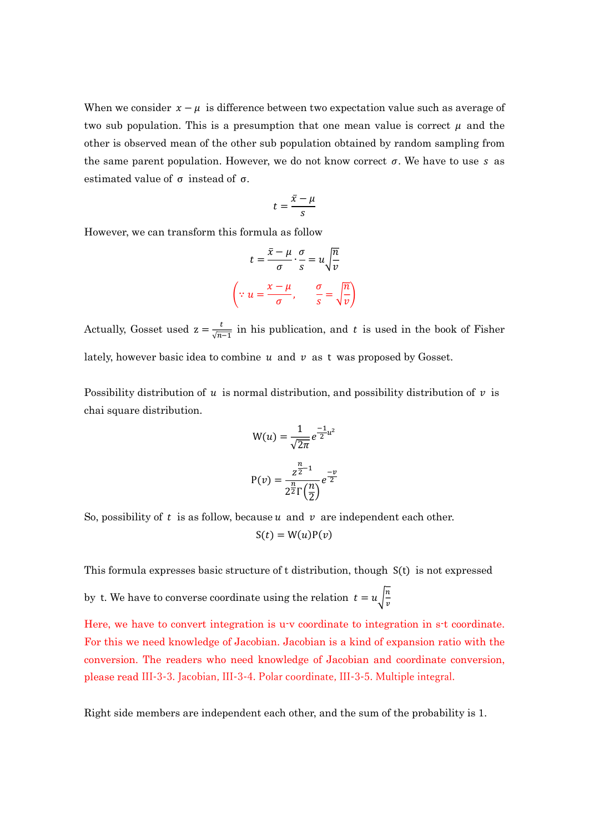When we consider  $x - \mu$  is difference between two expectation value such as average of two sub population. This is a presumption that one mean value is correct  $\mu$  and the other is observed mean of the other sub population obtained by random sampling from the same parent population. However, we do not know correct  $\sigma$ . We have to use s as estimated value of  $\sigma$  instead of  $\sigma$ .

$$
t = \frac{\bar{x} - \mu}{s}
$$

However, we can transform this formula as follow

$$
t = \frac{\overline{x} - \mu}{\sigma} \cdot \frac{\sigma}{s} = u \sqrt{\frac{n}{v}}
$$

$$
\left(\because u = \frac{x - \mu}{\sigma}, \frac{\sigma}{s} = \sqrt{\frac{n}{v}}\right)
$$

Actually, Gosset used  $z = \frac{t}{\sqrt{n}}$  $\frac{t}{\sqrt{n-1}}$  in his publication, and t is used in the book of Fisher lately, however basic idea to combine  $u$  and  $v$  as t was proposed by Gosset.

Possibility distribution of  $u$  is normal distribution, and possibility distribution of  $v$  is chai square distribution.

$$
W(u) = \frac{1}{\sqrt{2\pi}} e^{\frac{-1}{2}u^2}
$$

$$
P(v) = \frac{z^{\frac{n}{2}-1}}{2^{\frac{n}{2}}\Gamma\left(\frac{n}{2}\right)} e^{\frac{-v}{2}}
$$

So, possibility of t is as follow, because  $u$  and  $v$  are independent each other.

 $S(t) = W(u)P(v)$ 

This formula expresses basic structure of t distribution, though S(t) is not expressed

by t. We have to converse coordinate using the relation  $t = u \left| \frac{n}{n} \right|$  $\boldsymbol{\mathcal{v}}$ 

Here, we have to convert integration is u-v coordinate to integration in s-t coordinate. For this we need knowledge of Jacobian. Jacobian is a kind of expansion ratio with the conversion. The readers who need knowledge of Jacobian and coordinate conversion, please read III-3-3. Jacobian, III-3-4. Polar coordinate, III-3-5. Multiple integral.

Right side members are independent each other, and the sum of the probability is 1.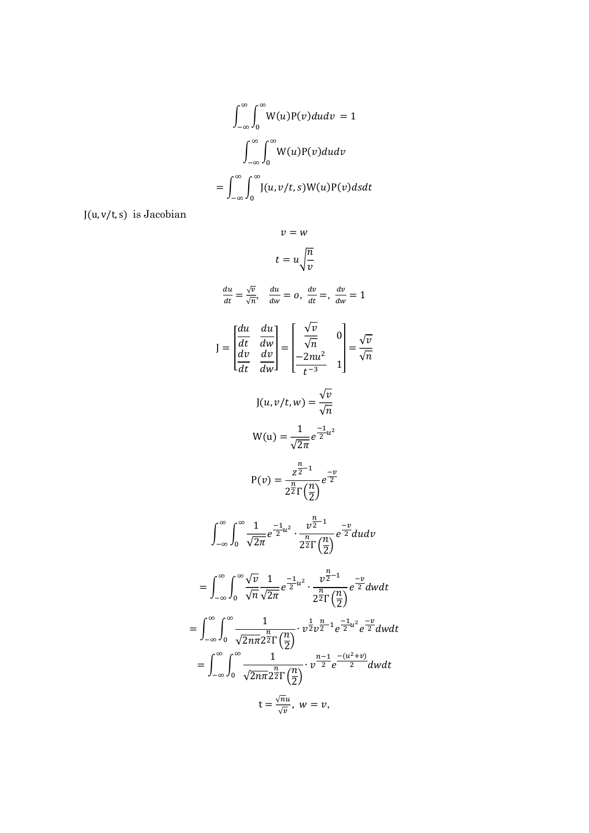$$
\int_{-\infty}^{\infty} \int_{0}^{\infty} W(u)P(v)dudv = 1
$$

$$
\int_{-\infty}^{\infty} \int_{0}^{\infty} W(u)P(v)dudv
$$

$$
= \int_{-\infty}^{\infty} \int_{0}^{\infty} J(u,v/t,s)W(u)P(v)dsdt
$$

 $J(u, v/t, s)$  is Jacobian

$$
v = w
$$
\n
$$
t = u\sqrt{\frac{n}{v}}
$$
\n
$$
\frac{du}{dt} = \frac{\sqrt{v}}{\sqrt{n}}, \quad \frac{du}{dw} = 0, \quad \frac{dv}{dt} = \frac{dv}{dw} = 1
$$
\n
$$
J = \begin{bmatrix} \frac{du}{dt} & \frac{du}{dw} \\ \frac{dv}{dt} & \frac{dv}{dw} \end{bmatrix} = \begin{bmatrix} \frac{\sqrt{v}}{\sqrt{n}} & 0 \\ \frac{-2nu^2}{t^{-3}} & 1 \end{bmatrix} = \frac{\sqrt{v}}{\sqrt{n}}
$$
\n
$$
J(u, v/t, w) = \frac{\sqrt{v}}{\sqrt{n}}
$$
\n
$$
W(u) = \frac{1}{\sqrt{2\pi}}e^{\frac{-1}{2}u^2}
$$
\n
$$
P(v) = \frac{z^{\frac{n}{2}-1}}{2^{\frac{n}{2}}\Gamma(\frac{n}{2})}e^{\frac{-v}{2}}
$$
\n
$$
\int_{-\infty}^{\infty} \int_{0}^{\infty} \frac{1}{\sqrt{2\pi}} e^{\frac{-1}{2}u^2} \cdot \frac{v^{\frac{n}{2}-1}}{2^{\frac{n}{2}}\Gamma(\frac{n}{2})} e^{\frac{-v}{2}} du dv
$$
\n
$$
= \int_{-\infty}^{\infty} \int_{0}^{\infty} \frac{\sqrt{v}}{\sqrt{n}} \frac{1}{\sqrt{2\pi}} e^{-\frac{1}{2}u^2} \cdot \frac{v^{\frac{n}{2}-1}}{2^{\frac{n}{2}}\Gamma(\frac{n}{2})} e^{\frac{-v}{2}} dv dt
$$
\n
$$
= \int_{-\infty}^{\infty} \int_{0}^{\infty} \frac{1}{\sqrt{2n\pi}} e^{\frac{-1}{2}u^2} \cdot \frac{v^{\frac{n}{2}-1}}{2^{\frac{n}{2}}\Gamma(\frac{n}{2})} e^{\frac{-v}{2}} dv dt
$$
\n
$$
= \int_{-\infty}^{\infty} \int_{0}^{\infty} \frac{1}{\sqrt{2n\pi}} e^{\frac{-1}{2}} \left(\frac{n}{2}\right) \cdot v^{\frac{n-1}{2}} e^{-\frac{u^2 + v}{2}} dv dt
$$
\n
$$
= \int_{-\infty}^{\infty} \int_{0}^{\infty} \frac{1}{
$$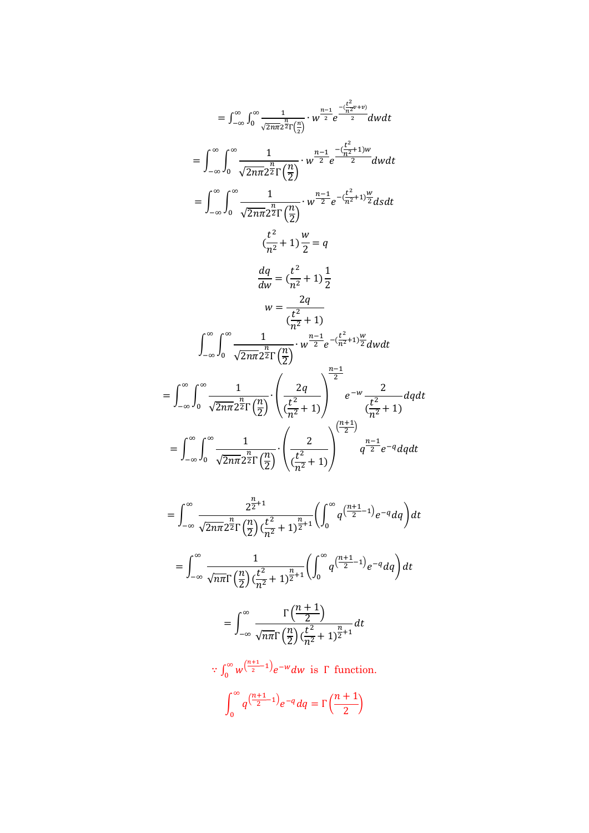$$
= \int_{-\infty}^{\infty} \int_{0}^{\infty} \frac{1}{\sqrt{2n\pi} 2^{2} \Gamma(\frac{n}{2})} \cdot w^{\frac{n-1}{2}} e^{-\frac{(\frac{t^{2}}{n^{2}}v+v)}{2}} dv dt
$$
  
\n
$$
= \int_{-\infty}^{\infty} \int_{0}^{\infty} \frac{1}{\sqrt{2n\pi} 2^{2} \Gamma(\frac{n}{2})} \cdot w^{\frac{n-1}{2}} e^{-\frac{(\frac{t^{2}}{n^{2}}+1)w}{2}} dv dt
$$
  
\n
$$
= \int_{-\infty}^{\infty} \int_{0}^{\infty} \frac{1}{\sqrt{2n\pi} 2^{2} \Gamma(\frac{n}{2})} \cdot w^{\frac{n-1}{2}} e^{-\frac{(\frac{t^{2}}{n^{2}}+1)\frac{w}{2}}{2}} ds dt
$$
  
\n
$$
\frac{(\frac{t^{2}}{n^{2}}+1) \frac{w}{2}}{2} = q
$$
  
\n
$$
\frac{dq}{dw} = (\frac{t^{2}}{n^{2}}+1) \frac{1}{2}
$$
  
\n
$$
w = \frac{2q}{(\frac{t^{2}}{n^{2}}+1)}
$$
  
\n
$$
\int_{-\infty}^{\infty} \int_{0}^{\infty} \frac{1}{\sqrt{2n\pi} 2^{2} \Gamma(\frac{n}{2})} \cdot w^{\frac{n-1}{2}} e^{-\frac{(\frac{t^{2}}{n^{2}}+1)\frac{w}{2}}{2}} dw dt
$$
  
\n
$$
= \int_{-\infty}^{\infty} \int_{0}^{\infty} \frac{1}{\sqrt{2n\pi} 2^{2} \Gamma(\frac{n}{2})} \cdot \left(\frac{2q}{(\frac{t^{2}}{n^{2}}+1)}\right)^{\frac{n-1}{2}} e^{-w} \frac{2}{(\frac{t^{2}}{n^{2}}+1)} dq dt
$$
  
\n
$$
= \int_{-\infty}^{\infty} \int_{0}^{\infty} \frac{1}{\sqrt{2n\pi} 2^{2} \Gamma(\frac{n}{2})} \cdot \left(\frac{2}{(\frac{t^{2}}{n^{2}}+1)}\right)^{\frac{(n+1)}{2}} q^{\frac{n-1}{2}} e^{-q} dq dt
$$

$$
= \int_{-\infty}^{\infty} \frac{2^{\frac{n}{2}+1}}{\sqrt{2n\pi}2^{\frac{n}{2}}\Gamma(\frac{n}{2})(\frac{t^2}{n^2}+1)^{\frac{n}{2}+1}} \left(\int_{0}^{\infty} q^{\left(\frac{n+1}{2}-1\right)} e^{-q} dq\right) dt
$$
  

$$
= \int_{-\infty}^{\infty} \frac{1}{\sqrt{n\pi}\Gamma(\frac{n}{2})(\frac{t^2}{n^2}+1)^{\frac{n}{2}+1}} \left(\int_{0}^{\infty} q^{\left(\frac{n+1}{2}-1\right)} e^{-q} dq\right) dt
$$
  

$$
= \int_{-\infty}^{\infty} \frac{\Gamma(\frac{n+1}{2})}{\sqrt{n\pi}\Gamma(\frac{n}{2})(\frac{t^2}{n^2}+1)^{\frac{n}{2}+1}} dt
$$

 $\therefore \int_0^\infty w^{\left(\frac{n+1}{2}\right)}$  $\int_0^\infty w^{\left(\frac{n+1}{2}-1\right)} e^{-w} dw$  is  $\Gamma$  function.

$$
\int_0^\infty q^{\left(\frac{n+1}{2}-1\right)}e^{-q}dq = \Gamma\left(\frac{n+1}{2}\right)
$$